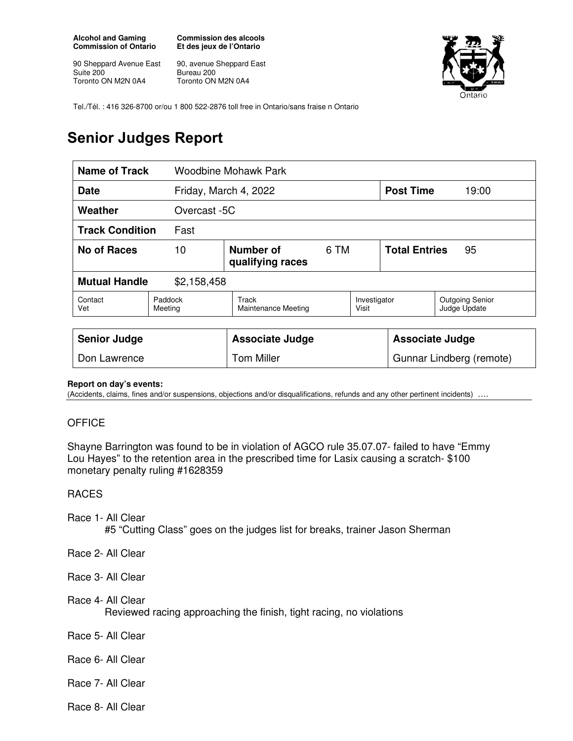**Alcohol and Gaming Commission of Ontario** 

90 Sheppard Avenue East Suite 200 Toronto ON M2N 0A4

**Commission des alcools Et des jeux de l'Ontario** 

90, avenue Sheppard East Bureau 200 Toronto ON M2N 0A4



Tel./Tél. : 416 326-8700 or/ou 1 800 522-2876 toll free in Ontario/sans fraise n Ontario

# **Senior Judges Report**

| <b>Name of Track</b><br>Woodbine Mohawk Park |                       |                                     |      |                          |                            |                                        |
|----------------------------------------------|-----------------------|-------------------------------------|------|--------------------------|----------------------------|----------------------------------------|
| <b>Date</b>                                  | Friday, March 4, 2022 |                                     |      | <b>Post Time</b>         | 19:00                      |                                        |
| Weather                                      |                       | Overcast -5C                        |      |                          |                            |                                        |
| <b>Track Condition</b><br>Fast               |                       |                                     |      |                          |                            |                                        |
| No of Races                                  | 10                    | Number of<br>qualifying races       | 6 TM |                          | <b>Total Entries</b><br>95 |                                        |
| <b>Mutual Handle</b><br>\$2,158,458          |                       |                                     |      |                          |                            |                                        |
| Contact<br>Vet                               | Paddock<br>Meeting    | Track<br><b>Maintenance Meeting</b> |      | Investigator<br>Visit    |                            | <b>Outgoing Senior</b><br>Judge Update |
|                                              |                       |                                     |      |                          |                            |                                        |
| <b>Senior Judge</b>                          |                       | <b>Associate Judge</b>              |      | <b>Associate Judge</b>   |                            |                                        |
| Don Lawrence                                 |                       | <b>Tom Miller</b>                   |      | Gunnar Lindberg (remote) |                            |                                        |

#### **Report on day's events:**

(Accidents, claims, fines and/or suspensions, objections and/or disqualifications, refunds and any other pertinent incidents) ….

## **OFFICE**

Shayne Barrington was found to be in violation of AGCO rule 35.07.07- failed to have "Emmy Lou Hayes" to the retention area in the prescribed time for Lasix causing a scratch- \$100 monetary penalty ruling #1628359

### RACES

- Race 1- All Clear #5 "Cutting Class" goes on the judges list for breaks, trainer Jason Sherman
- Race 2- All Clear

Race 3- All Clear

Race 4- All Clear

Reviewed racing approaching the finish, tight racing, no violations

Race 5- All Clear

- Race 6- All Clear
- Race 7- All Clear
- Race 8- All Clear